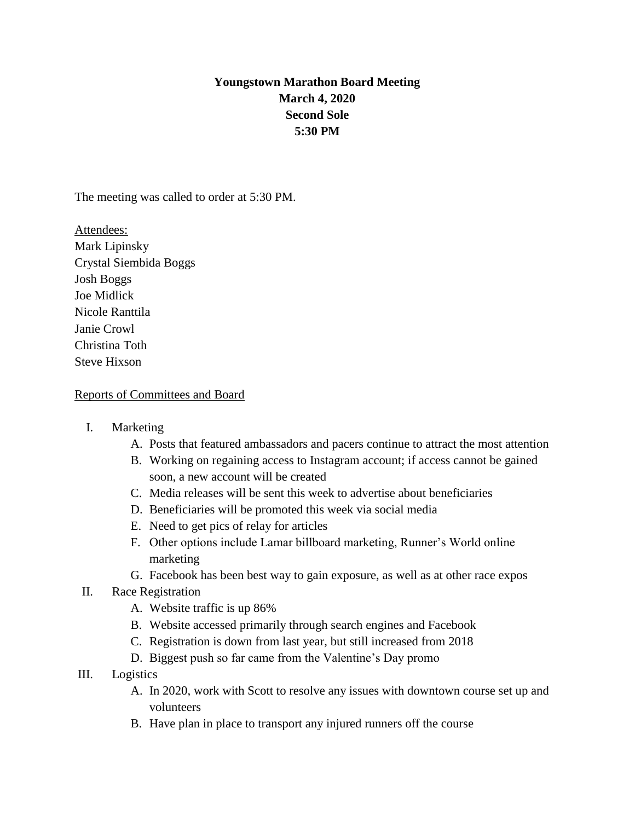# **Youngstown Marathon Board Meeting March 4, 2020 Second Sole 5:30 PM**

The meeting was called to order at 5:30 PM.

Attendees: Mark Lipinsky Crystal Siembida Boggs Josh Boggs Joe Midlick Nicole Ranttila Janie Crowl Christina Toth Steve Hixson

### Reports of Committees and Board

- I. Marketing
	- A. Posts that featured ambassadors and pacers continue to attract the most attention
	- B. Working on regaining access to Instagram account; if access cannot be gained soon, a new account will be created
	- C. Media releases will be sent this week to advertise about beneficiaries
	- D. Beneficiaries will be promoted this week via social media
	- E. Need to get pics of relay for articles
	- F. Other options include Lamar billboard marketing, Runner's World online marketing
	- G. Facebook has been best way to gain exposure, as well as at other race expos
- II. Race Registration
	- A. Website traffic is up 86%
	- B. Website accessed primarily through search engines and Facebook
	- C. Registration is down from last year, but still increased from 2018
	- D. Biggest push so far came from the Valentine's Day promo
- III. Logistics
	- A. In 2020, work with Scott to resolve any issues with downtown course set up and volunteers
	- B. Have plan in place to transport any injured runners off the course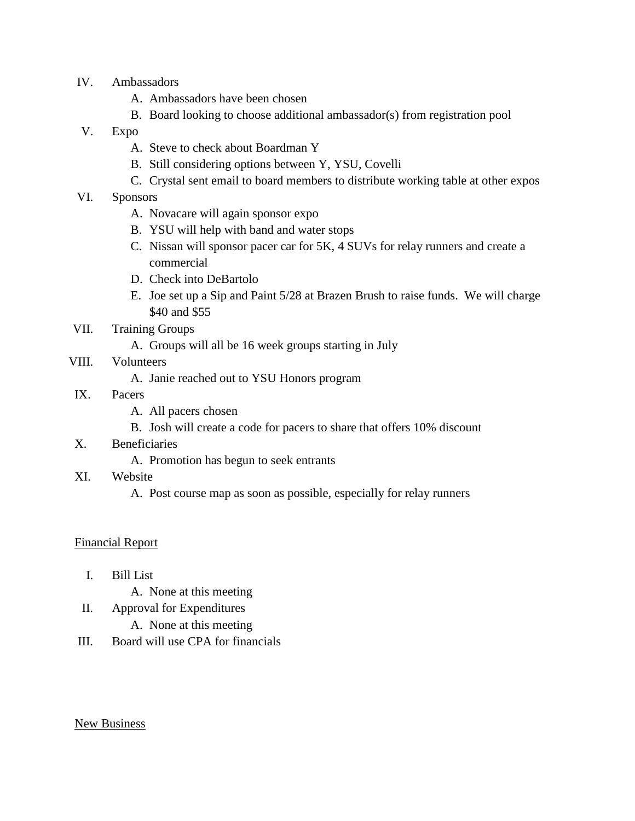- IV. Ambassadors
	- A. Ambassadors have been chosen
	- B. Board looking to choose additional ambassador(s) from registration pool
- V. Expo
	- A. Steve to check about Boardman Y
	- B. Still considering options between Y, YSU, Covelli
	- C. Crystal sent email to board members to distribute working table at other expos
- VI. Sponsors
	- A. Novacare will again sponsor expo
	- B. YSU will help with band and water stops
	- C. Nissan will sponsor pacer car for 5K, 4 SUVs for relay runners and create a commercial
	- D. Check into DeBartolo
	- E. Joe set up a Sip and Paint 5/28 at Brazen Brush to raise funds. We will charge \$40 and \$55
- VII. Training Groups
	- A. Groups will all be 16 week groups starting in July

## VIII. Volunteers

- A. Janie reached out to YSU Honors program
- IX. Pacers
	- A. All pacers chosen
	- B. Josh will create a code for pacers to share that offers 10% discount
- X. Beneficiaries
	- A. Promotion has begun to seek entrants
- XI. Website
	- A. Post course map as soon as possible, especially for relay runners

#### Financial Report

- I. Bill List
	- A. None at this meeting
- II. Approval for Expenditures
	- A. None at this meeting
- III. Board will use CPA for financials

#### New Business